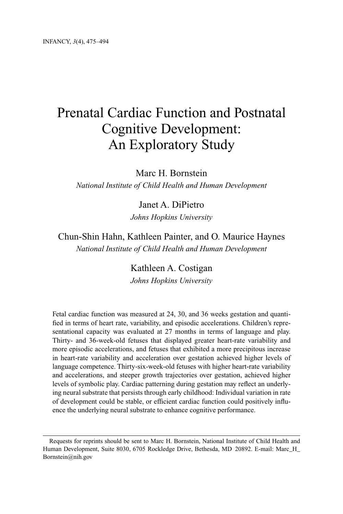# Prenatal Cardiac Function and Postnatal Cognitive Development: An Exploratory Study

Marc H. Bornstein

*National Institute of Child Health and Human Development*

Janet A. DiPietro *Johns Hopkins University*

Chun-Shin Hahn, Kathleen Painter, and O. Maurice Haynes *National Institute of Child Health and Human Development*

> Kathleen A. Costigan *Johns Hopkins University*

Fetal cardiac function was measured at 24, 30, and 36 weeks gestation and quantified in terms of heart rate, variability, and episodic accelerations. Children's representational capacity was evaluated at 27 months in terms of language and play. Thirty- and 36-week-old fetuses that displayed greater heart-rate variability and more episodic accelerations, and fetuses that exhibited a more precipitous increase in heart-rate variability and acceleration over gestation achieved higher levels of language competence. Thirty-six-week-old fetuses with higher heart-rate variability and accelerations, and steeper growth trajectories over gestation, achieved higher levels of symbolic play. Cardiac patterning during gestation may reflect an underlying neural substrate that persists through early childhood: Individual variation in rate of development could be stable, or efficient cardiac function could positively influence the underlying neural substrate to enhance cognitive performance.

Requests for reprints should be sent to Marc H. Bornstein, National Institute of Child Health and Human Development, Suite 8030, 6705 Rockledge Drive, Bethesda, MD 20892. E-mail: Marc\_H\_ Bornstein@nih.gov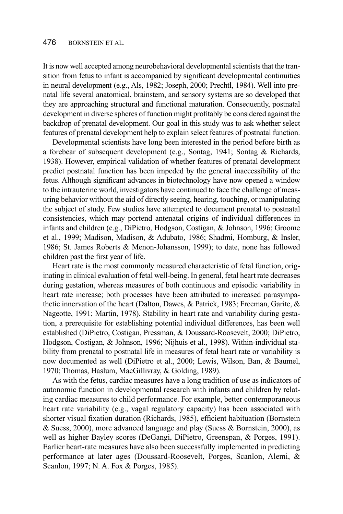#### 476 BORNSTEIN ET AL.

It is now well accepted among neurobehavioral developmental scientists that the transition from fetus to infant is accompanied by significant developmental continuities in neural development (e.g., Als, 1982; Joseph, 2000; Prechtl, 1984). Well into prenatal life several anatomical, brainstem, and sensory systems are so developed that they are approaching structural and functional maturation. Consequently, postnatal development in diverse spheres of function might profitably be considered against the backdrop of prenatal development. Our goal in this study was to ask whether select features of prenatal development help to explain select features of postnatal function.

Developmental scientists have long been interested in the period before birth as a forebear of subsequent development (e.g., Sontag, 1941; Sontag & Richards, 1938). However, empirical validation of whether features of prenatal development predict postnatal function has been impeded by the general inaccessibility of the fetus. Although significant advances in biotechnology have now opened a window to the intrauterine world, investigators have continued to face the challenge of measuring behavior without the aid of directly seeing, hearing, touching, or manipulating the subject of study. Few studies have attempted to document prenatal to postnatal consistencies, which may portend antenatal origins of individual differences in infants and children (e.g., DiPietro, Hodgson, Costigan, & Johnson, 1996; Groome et al., 1999; Madison, Madison, & Adubato, 1986; Shadmi, Homburg, & Insler, 1986; St. James Roberts & Menon-Johansson, 1999); to date, none has followed children past the first year of life.

Heart rate is the most commonly measured characteristic of fetal function, originating in clinical evaluation of fetal well-being. In general, fetal heart rate decreases during gestation, whereas measures of both continuous and episodic variability in heart rate increase; both processes have been attributed to increased parasympathetic innervation of the heart (Dalton, Dawes, & Patrick, 1983; Freeman, Garite, & Nageotte, 1991; Martin, 1978). Stability in heart rate and variability during gestation, a prerequisite for establishing potential individual differences, has been well established (DiPietro, Costigan, Pressman, & Doussard-Roosevelt, 2000; DiPietro, Hodgson, Costigan, & Johnson, 1996; Nijhuis et al., 1998). Within-individual stability from prenatal to postnatal life in measures of fetal heart rate or variability is now documented as well (DiPietro et al., 2000; Lewis, Wilson, Ban, & Baumel, 1970; Thomas, Haslum, MacGillivray, & Golding, 1989).

As with the fetus, cardiac measures have a long tradition of use as indicators of autonomic function in developmental research with infants and children by relating cardiac measures to child performance. For example, better contemporaneous heart rate variability (e.g., vagal regulatory capacity) has been associated with shorter visual fixation duration (Richards, 1985), efficient habituation (Bornstein & Suess, 2000), more advanced language and play (Suess & Bornstein, 2000), as well as higher Bayley scores (DeGangi, DiPietro, Greenspan, & Porges, 1991). Earlier heart-rate measures have also been successfully implemented in predicting performance at later ages (Doussard-Roosevelt, Porges, Scanlon, Alemi, & Scanlon, 1997; N. A. Fox & Porges, 1985).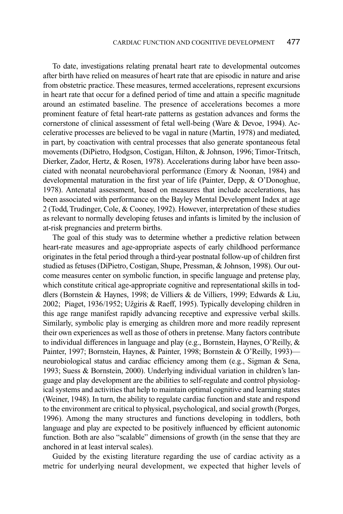To date, investigations relating prenatal heart rate to developmental outcomes after birth have relied on measures of heart rate that are episodic in nature and arise from obstetric practice. These measures, termed accelerations, represent excursions in heart rate that occur for a defined period of time and attain a specific magnitude around an estimated baseline. The presence of accelerations becomes a more prominent feature of fetal heart-rate patterns as gestation advances and forms the cornerstone of clinical assessment of fetal well-being (Ware & Devoe, 1994). Accelerative processes are believed to be vagal in nature (Martin, 1978) and mediated, in part, by coactivation with central processes that also generate spontaneous fetal movements (DiPietro, Hodgson, Costigan, Hilton, & Johnson, 1996; Timor-Tritsch, Dierker, Zador, Hertz, & Rosen, 1978). Accelerations during labor have been associated with neonatal neurobehavioral performance (Emory & Noonan, 1984) and developmental maturation in the first year of life (Painter, Depp, & O'Donoghue, 1978). Antenatal assessment, based on measures that include accelerations, has been associated with performance on the Bayley Mental Development Index at age 2 (Todd, Trudinger, Cole, & Cooney, 1992). However, interpretation of these studies as relevant to normally developing fetuses and infants is limited by the inclusion of at-risk pregnancies and preterm births.

The goal of this study was to determine whether a predictive relation between heart-rate measures and age-appropriate aspects of early childhood performance originates in the fetal period through a third-year postnatal follow-up of children first studied as fetuses (DiPietro, Costigan, Shupe, Pressman, & Johnson, 1998). Our outcome measures center on symbolic function, in specific language and pretense play, which constitute critical age-appropriate cognitive and representational skills in toddlers (Bornstein & Haynes, 1998; de Villiers & de Villiers, 1999; Edwards & Liu, 2002; Piaget, 1936/1952; Užgiris & Raeff, 1995). Typically developing children in this age range manifest rapidly advancing receptive and expressive verbal skills. Similarly, symbolic play is emerging as children more and more readily represent their own experiences as well as those of others in pretense. Many factors contribute to individual differences in language and play (e.g., Bornstein, Haynes, O'Reilly, & Painter, 1997; Bornstein, Haynes, & Painter, 1998; Bornstein & O'Reilly, 1993) neurobiological status and cardiac efficiency among them (e.g., Sigman & Sena, 1993; Suess & Bornstein, 2000). Underlying individual variation in children's language and play development are the abilities to self-regulate and control physiological systems and activities that help to maintain optimal cognitive and learning states (Weiner, 1948). In turn, the ability to regulate cardiac function and state and respond to the environment are critical to physical, psychological, and social growth (Porges, 1996). Among the many structures and functions developing in toddlers, both language and play are expected to be positively influenced by efficient autonomic function. Both are also "scalable" dimensions of growth (in the sense that they are anchored in at least interval scales).

Guided by the existing literature regarding the use of cardiac activity as a metric for underlying neural development, we expected that higher levels of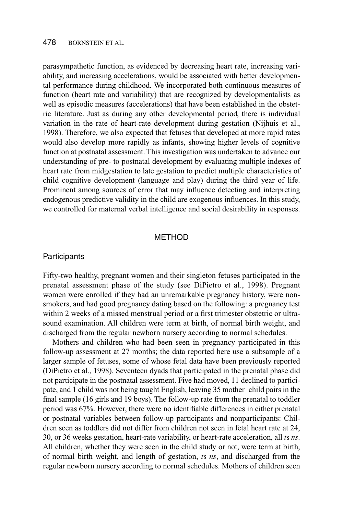parasympathetic function, as evidenced by decreasing heart rate, increasing variability, and increasing accelerations, would be associated with better developmental performance during childhood. We incorporated both continuous measures of function (heart rate and variability) that are recognized by developmentalists as well as episodic measures (accelerations) that have been established in the obstetric literature. Just as during any other developmental period, there is individual variation in the rate of heart-rate development during gestation (Nijhuis et al., 1998). Therefore, we also expected that fetuses that developed at more rapid rates would also develop more rapidly as infants, showing higher levels of cognitive function at postnatal assessment. This investigation was undertaken to advance our understanding of pre- to postnatal development by evaluating multiple indexes of heart rate from midgestation to late gestation to predict multiple characteristics of child cognitive development (language and play) during the third year of life. Prominent among sources of error that may influence detecting and interpreting endogenous predictive validity in the child are exogenous influences. In this study, we controlled for maternal verbal intelligence and social desirability in responses.

#### METHOD

#### **Participants**

Fifty-two healthy, pregnant women and their singleton fetuses participated in the prenatal assessment phase of the study (see DiPietro et al., 1998). Pregnant women were enrolled if they had an unremarkable pregnancy history, were nonsmokers, and had good pregnancy dating based on the following: a pregnancy test within 2 weeks of a missed menstrual period or a first trimester obstetric or ultrasound examination. All children were term at birth, of normal birth weight, and discharged from the regular newborn nursery according to normal schedules.

Mothers and children who had been seen in pregnancy participated in this follow-up assessment at 27 months; the data reported here use a subsample of a larger sample of fetuses, some of whose fetal data have been previously reported (DiPietro et al., 1998). Seventeen dyads that participated in the prenatal phase did not participate in the postnatal assessment. Five had moved, 11 declined to participate, and 1 child was not being taught English, leaving 35 mother–child pairs in the final sample (16 girls and 19 boys). The follow-up rate from the prenatal to toddler period was 67%. However, there were no identifiable differences in either prenatal or postnatal variables between follow-up participants and nonparticipants: Children seen as toddlers did not differ from children not seen in fetal heart rate at 24, 30, or 36 weeks gestation, heart-rate variability, or heart-rate acceleration, all *t*s *ns*. All children, whether they were seen in the child study or not, were term at birth, of normal birth weight, and length of gestation, *t*s *ns*, and discharged from the regular newborn nursery according to normal schedules. Mothers of children seen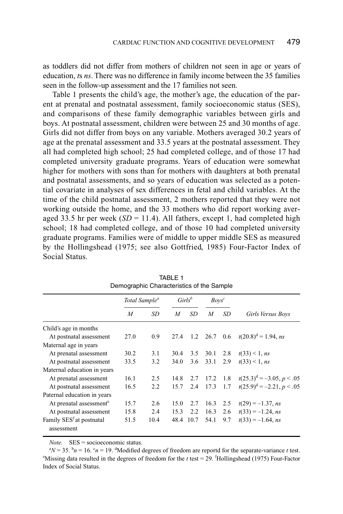as toddlers did not differ from mothers of children not seen in age or years of education, *t*s *ns*. There was no difference in family income between the 35 families seen in the follow-up assessment and the 17 families not seen.

Table 1 presents the child's age, the mother's age, the education of the parent at prenatal and postnatal assessment, family socioeconomic status (SES), and comparisons of these family demographic variables between girls and boys. At postnatal assessment, children were between 25 and 30 months of age. Girls did not differ from boys on any variable. Mothers averaged 30.2 years of age at the prenatal assessment and 33.5 years at the postnatal assessment. They all had completed high school; 25 had completed college, and of those 17 had completed university graduate programs. Years of education were somewhat higher for mothers with sons than for mothers with daughters at both prenatal and postnatal assessments, and so years of education was selected as a potential covariate in analyses of sex differences in fetal and child variables. At the time of the child postnatal assessment, 2 mothers reported that they were not working outside the home, and the 33 mothers who did report working averaged 33.5 hr per week  $(SD = 11.4)$ . All fathers, except 1, had completed high school; 18 had completed college, and of those 10 had completed university graduate programs. Families were of middle to upper middle SES as measured by the Hollingshead (1975; see also Gottfried, 1985) Four-Factor Index of Social Status.

|                                                    | Total Sample <sup>a</sup> |           | $Girls^b$        |      | $Boys^c$ |     |                              |
|----------------------------------------------------|---------------------------|-----------|------------------|------|----------|-----|------------------------------|
|                                                    | $\overline{M}$            | <b>SD</b> | $\boldsymbol{M}$ | SD   | M        | SD  | Girls Versus Boys            |
| Child's age in months                              |                           |           |                  |      |          |     |                              |
| At postnatal assessment                            | 27.0                      | 0.9       | 27.4             | 1.2  | 26.7     | 0.6 | $t(20.8)^d = 1.94$ , ns      |
| Maternal age in years                              |                           |           |                  |      |          |     |                              |
| At prenatal assessment                             | 30.2                      | 3.1       | 30.4             | 3.5  | 30.1     | 2.8 | $t(33) < 1$ , ns             |
| At postnatal assessment                            | 33.5                      | 3.2       | 34.0             | 3.6  | 33.1     | 2.9 | $t(33) < 1$ , ns             |
| Maternal education in years                        |                           |           |                  |      |          |     |                              |
| At prenatal assessment                             | 16.1                      | 2.5       | 14.8             | 2.7  | 17.2     | 1.8 | $t(25.3)^d = -3.05, p < .05$ |
| At postnatal assessment                            | 16.5                      | 2.2       | 15.7             | 2.4  | 17.3     | 1.7 | $t(25.9)^d = -2.21, p < .05$ |
| Paternal education in years                        |                           |           |                  |      |          |     |                              |
| At prenatal assessment <sup>e</sup>                | 15.7                      | 2.6       | 15.0             | 2.7  | 16.3     | 2.5 | $t(29) = -1.37$ , ns         |
| At postnatal assessment                            | 15.8                      | 2.4       | 15.3             | 2.2  | 16.3     | 2.6 | $t(33) = -1.24$ , ns         |
| Family SES <sup>f</sup> at postnatal<br>assessment | 51.5                      | 10.4      | 48.4             | 10.7 | 54.1     | 9.7 | $t(33) = -1.64$ , ns         |

TABLE 1 Demographic Characteristics of the Sample

*Note.*  $SES = \text{socioeconomic status.}$ 

 $N = 35$ .  $\frac{b}{n} = 16$ .  $\frac{c}{n} = 19$ . <sup>d</sup>Modified degrees of freedom are reportd for the separate-variance *t* test. e Missing data resulted in the degrees of freedom for the *t* test = 29. <sup>f</sup> Hollingshead (1975) Four-Factor Index of Social Status.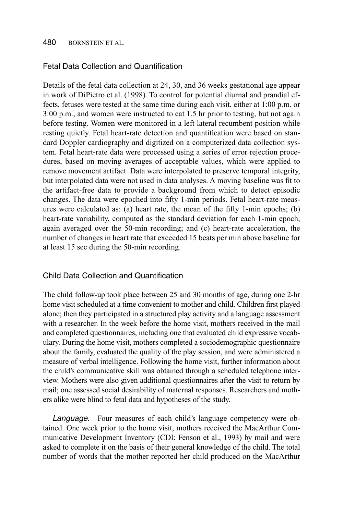#### 480 BORNSTEIN ET AL.

## Fetal Data Collection and Quantification

Details of the fetal data collection at 24, 30, and 36 weeks gestational age appear in work of DiPietro et al. (1998). To control for potential diurnal and prandial effects, fetuses were tested at the same time during each visit, either at 1:00 p.m. or 3:00 p.m., and women were instructed to eat 1.5 hr prior to testing, but not again before testing. Women were monitored in a left lateral recumbent position while resting quietly. Fetal heart-rate detection and quantification were based on standard Doppler cardiography and digitized on a computerized data collection system. Fetal heart-rate data were processed using a series of error rejection procedures, based on moving averages of acceptable values, which were applied to remove movement artifact. Data were interpolated to preserve temporal integrity, but interpolated data were not used in data analyses. A moving baseline was fit to the artifact-free data to provide a background from which to detect episodic changes. The data were epoched into fifty 1-min periods. Fetal heart-rate measures were calculated as: (a) heart rate, the mean of the fifty 1-min epochs; (b) heart-rate variability, computed as the standard deviation for each 1-min epoch, again averaged over the 50-min recording; and (c) heart-rate acceleration, the number of changes in heart rate that exceeded 15 beats per min above baseline for at least 15 sec during the 50-min recording.

### Child Data Collection and Quantification

The child follow-up took place between 25 and 30 months of age, during one 2-hr home visit scheduled at a time convenient to mother and child. Children first played alone; then they participated in a structured play activity and a language assessment with a researcher. In the week before the home visit, mothers received in the mail and completed questionnaires, including one that evaluated child expressive vocabulary. During the home visit, mothers completed a sociodemographic questionnaire about the family, evaluated the quality of the play session, and were administered a measure of verbal intelligence. Following the home visit, further information about the child's communicative skill was obtained through a scheduled telephone interview. Mothers were also given additional questionnaires after the visit to return by mail; one assessed social desirability of maternal responses. Researchers and mothers alike were blind to fetal data and hypotheses of the study.

*Language.* Four measures of each child's language competency were obtained. One week prior to the home visit, mothers received the MacArthur Communicative Development Inventory (CDI; Fenson et al., 1993) by mail and were asked to complete it on the basis of their general knowledge of the child. The total number of words that the mother reported her child produced on the MacArthur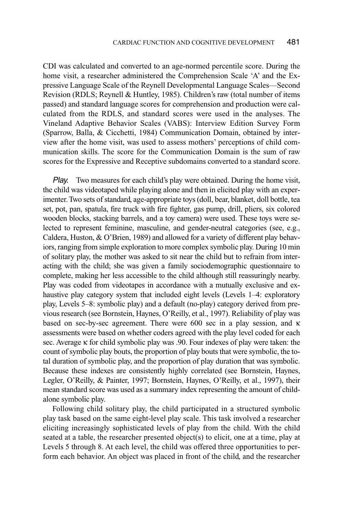CDI was calculated and converted to an age-normed percentile score. During the home visit, a researcher administered the Comprehension Scale 'A' and the Expressive Language Scale of the Reynell Developmental Language Scales—Second Revision (RDLS; Reynell & Huntley, 1985). Children's raw (total number of items passed) and standard language scores for comprehension and production were calculated from the RDLS, and standard scores were used in the analyses. The Vineland Adaptive Behavior Scales (VABS): Interview Edition Survey Form (Sparrow, Balla, & Cicchetti, 1984) Communication Domain, obtained by interview after the home visit, was used to assess mothers' perceptions of child communication skills. The score for the Communication Domain is the sum of raw scores for the Expressive and Receptive subdomains converted to a standard score.

*Play.* Two measures for each child's play were obtained. During the home visit, the child was videotaped while playing alone and then in elicited play with an experimenter. Two sets of standard, age-appropriate toys (doll, bear, blanket, doll bottle, tea set, pot, pan, spatula, fire truck with fire fighter, gas pump, drill, pliers, six colored wooden blocks, stacking barrels, and a toy camera) were used. These toys were selected to represent feminine, masculine, and gender-neutral categories (see, e.g., Caldera, Huston, & O'Brien, 1989) and allowed for a variety of different play behaviors, ranging from simple exploration to more complex symbolic play. During 10 min of solitary play, the mother was asked to sit near the child but to refrain from interacting with the child; she was given a family sociodemographic questionnaire to complete, making her less accessible to the child although still reassuringly nearby. Play was coded from videotapes in accordance with a mutually exclusive and exhaustive play category system that included eight levels (Levels 1–4: exploratory play, Levels 5–8: symbolic play) and a default (no-play) category derived from previous research (see Bornstein, Haynes, O'Reilly, et al., 1997). Reliability of play was based on sec-by-sec agreement. There were 600 sec in a play session, and  $\kappa$ assessments were based on whether coders agreed with the play level coded for each sec. Average κ for child symbolic play was .90. Four indexes of play were taken: the count of symbolic play bouts, the proportion of play bouts that were symbolic, the total duration of symbolic play, and the proportion of play duration that was symbolic. Because these indexes are consistently highly correlated (see Bornstein, Haynes, Legler, O'Reilly, & Painter, 1997; Bornstein, Haynes, O'Reilly, et al., 1997), their mean standard score was used as a summary index representing the amount of childalone symbolic play.

Following child solitary play, the child participated in a structured symbolic play task based on the same eight-level play scale. This task involved a researcher eliciting increasingly sophisticated levels of play from the child. With the child seated at a table, the researcher presented object(s) to elicit, one at a time, play at Levels 5 through 8. At each level, the child was offered three opportunities to perform each behavior. An object was placed in front of the child, and the researcher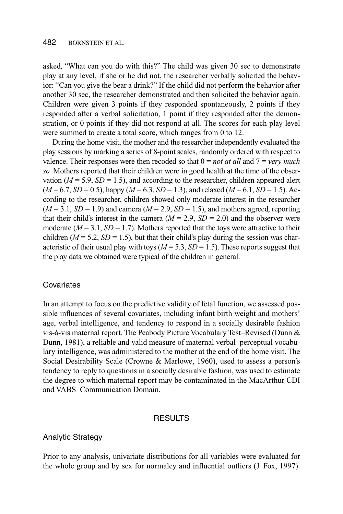asked, "What can you do with this?" The child was given 30 sec to demonstrate play at any level, if she or he did not, the researcher verbally solicited the behavior: "Can you give the bear a drink?" If the child did not perform the behavior after another 30 sec, the researcher demonstrated and then solicited the behavior again. Children were given 3 points if they responded spontaneously, 2 points if they responded after a verbal solicitation, 1 point if they responded after the demonstration, or 0 points if they did not respond at all. The scores for each play level were summed to create a total score, which ranges from 0 to 12.

During the home visit, the mother and the researcher independently evaluated the play sessions by marking a series of 8-point scales, randomly ordered with respect to valence. Their responses were then recoded so that  $0 = not$  *at all* and  $7 =$ *very much so.* Mothers reported that their children were in good health at the time of the observation  $(M = 5.9, SD = 1.5)$ , and according to the researcher, children appeared alert  $(M=6.7, SD=0.5)$ , happy  $(M=6.3, SD=1.3)$ , and relaxed  $(M=6.1, SD=1.5)$ . According to the researcher, children showed only moderate interest in the researcher  $(M = 3.1, SD = 1.9)$  and camera  $(M = 2.9, SD = 1.5)$ , and mothers agreed, reporting that their child's interest in the camera  $(M = 2.9, SD = 2.0)$  and the observer were moderate  $(M = 3.1, SD = 1.7)$ . Mothers reported that the toys were attractive to their children ( $M = 5.2$ ,  $SD = 1.5$ ), but that their child's play during the session was characteristic of their usual play with toys ( $M = 5.3$ ,  $SD = 1.5$ ). These reports suggest that the play data we obtained were typical of the children in general.

#### **Covariates**

In an attempt to focus on the predictive validity of fetal function, we assessed possible influences of several covariates, including infant birth weight and mothers' age, verbal intelligence, and tendency to respond in a socially desirable fashion vis-à-vis maternal report. The Peabody Picture Vocabulary Test–Revised (Dunn & Dunn, 1981), a reliable and valid measure of maternal verbal–perceptual vocabulary intelligence, was administered to the mother at the end of the home visit. The Social Desirability Scale (Crowne & Marlowe, 1960), used to assess a person's tendency to reply to questions in a socially desirable fashion, was used to estimate the degree to which maternal report may be contaminated in the MacArthur CDI and VABS–Communication Domain.

#### RESULTS

#### Analytic Strategy

Prior to any analysis, univariate distributions for all variables were evaluated for the whole group and by sex for normalcy and influential outliers (J. Fox, 1997).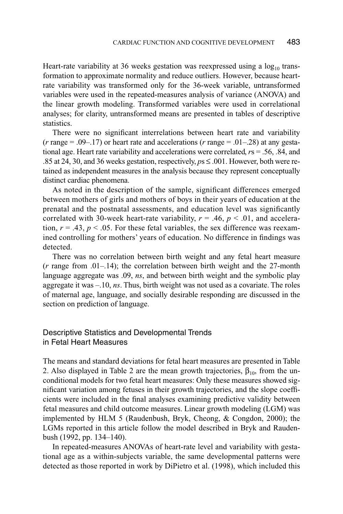Heart-rate variability at 36 weeks gestation was reexpressed using a  $log_{10}$  transformation to approximate normality and reduce outliers. However, because heartrate variability was transformed only for the 36-week variable, untransformed variables were used in the repeated-measures analysis of variance (ANOVA) and the linear growth modeling. Transformed variables were used in correlational analyses; for clarity, untransformed means are presented in tables of descriptive statistics.

There were no significant interrelations between heart rate and variability (*r* range = .09–.17) or heart rate and accelerations (*r* range = .01–.28) at any gestational age. Heart rate variability and accelerations were correlated, *r*s = .56, .84, and .85 at 24, 30, and 36 weeks gestation, respectively, *p*s ≤ .001. However, both were retained as independent measures in the analysis because they represent conceptually distinct cardiac phenomena.

As noted in the description of the sample, significant differences emerged between mothers of girls and mothers of boys in their years of education at the prenatal and the postnatal assessments, and education level was significantly correlated with 30-week heart-rate variability,  $r = .46$ ,  $p < .01$ , and acceleration,  $r = .43$ ,  $p < .05$ . For these fetal variables, the sex difference was reexamined controlling for mothers' years of education. No difference in findings was detected.

There was no correlation between birth weight and any fetal heart measure (*r* range from .01–.14); the correlation between birth weight and the 27-month language aggregate was .09, *ns*, and between birth weight and the symbolic play aggregate it was –.10, *ns*. Thus, birth weight was not used as a covariate. The roles of maternal age, language, and socially desirable responding are discussed in the section on prediction of language.

#### Descriptive Statistics and Developmental Trends in Fetal Heart Measures

The means and standard deviations for fetal heart measures are presented in Table 2. Also displayed in Table 2 are the mean growth trajectories,  $\beta_{10}$ , from the unconditional models for two fetal heart measures: Only these measures showed significant variation among fetuses in their growth trajectories, and the slope coefficients were included in the final analyses examining predictive validity between fetal measures and child outcome measures. Linear growth modeling (LGM) was implemented by HLM 5 (Raudenbush, Bryk, Cheong, & Congdon, 2000); the LGMs reported in this article follow the model described in Bryk and Raudenbush (1992, pp. 134–140).

In repeated-measures ANOVAs of heart-rate level and variability with gestational age as a within-subjects variable, the same developmental patterns were detected as those reported in work by DiPietro et al. (1998), which included this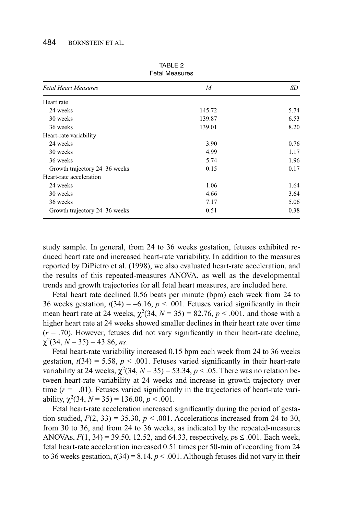#### 484 BORNSTEIN ET AL.

| <b>Fetal Heart Measures</b>   | $\boldsymbol{M}$ | SD   |
|-------------------------------|------------------|------|
| Heart rate                    |                  |      |
| 24 weeks                      | 145.72           | 5.74 |
| 30 weeks                      | 139.87           | 6.53 |
| 36 weeks                      | 139.01           | 8.20 |
| Heart-rate variability        |                  |      |
| 24 weeks                      | 3.90             | 0.76 |
| 30 weeks                      | 4.99             | 1.17 |
| 36 weeks                      | 5.74             | 1.96 |
| Growth trajectory 24–36 weeks | 0.15             | 0.17 |
| Heart-rate acceleration       |                  |      |
| 24 weeks                      | 1.06             | 1.64 |
| 30 weeks                      | 4.66             | 3.64 |
| 36 weeks                      | 7.17             | 5.06 |
| Growth trajectory 24–36 weeks | 0.51             | 0.38 |

TABLE 2 Fetal Measures

study sample. In general, from 24 to 36 weeks gestation, fetuses exhibited reduced heart rate and increased heart-rate variability. In addition to the measures reported by DiPietro et al. (1998), we also evaluated heart-rate acceleration, and the results of this repeated-measures ANOVA, as well as the developmental trends and growth trajectories for all fetal heart measures, are included here.

Fetal heart rate declined 0.56 beats per minute (bpm) each week from 24 to 36 weeks gestation,  $t(34) = -6.16$ ,  $p < .001$ . Fetuses varied significantly in their mean heart rate at 24 weeks,  $\chi^2(34, N = 35) = 82.76, p < .001$ , and those with a higher heart rate at 24 weeks showed smaller declines in their heart rate over time  $(r = .70)$ . However, fetuses did not vary significantly in their heart-rate decline,  $\chi^2(34, N = 35) = 43.86$ , *ns*.

Fetal heart-rate variability increased 0.15 bpm each week from 24 to 36 weeks gestation,  $t(34) = 5.58$ ,  $p < .001$ . Fetuses varied significantly in their heart-rate variability at 24 weeks,  $\chi^2(34, N = 35) = 53.34, p < .05$ . There was no relation between heart-rate variability at 24 weeks and increase in growth trajectory over time  $(r = -0.01)$ . Fetuses varied significantly in the trajectories of heart-rate variability,  $\chi^2(34, N = 35) = 136.00, p < .001$ .

Fetal heart-rate acceleration increased significantly during the period of gestation studied,  $F(2, 33) = 35.30, p < .001$ . Accelerations increased from 24 to 30, from 30 to 36, and from 24 to 36 weeks, as indicated by the repeated-measures ANOVAs,  $F(1, 34) = 39.50, 12.52,$  and 64.33, respectively,  $p_s \le 0.001$ . Each week, fetal heart-rate acceleration increased 0.51 times per 50-min of recording from 24 to 36 weeks gestation,  $t(34) = 8.14$ ,  $p < .001$ . Although fetuses did not vary in their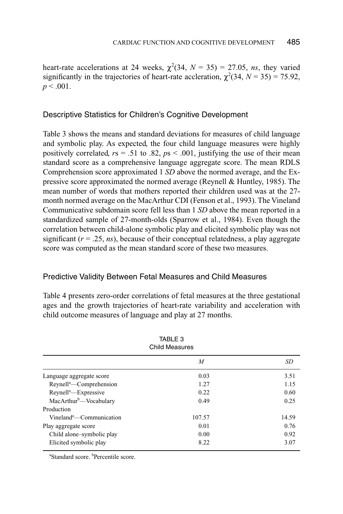heart-rate accelerations at 24 weeks,  $\chi^2(34, N = 35) = 27.05$ , *ns*, they varied significantly in the trajectories of heart-rate accleration,  $\chi^2(34, N = 35) = 75.92$ ,  $p < .001$ .

#### Descriptive Statistics for Children's Cognitive Development

Table 3 shows the means and standard deviations for measures of child language and symbolic play. As expected, the four child language measures were highly positively correlated,  $rs = .51$  to  $.82$ ,  $ps < .001$ , justifying the use of their mean standard score as a comprehensive language aggregate score. The mean RDLS Comprehension score approximated 1 *SD* above the normed average, and the Expressive score approximated the normed average (Reynell & Huntley, 1985). The mean number of words that mothers reported their children used was at the 27 month normed average on the MacArthur CDI (Fenson et al., 1993). The Vineland Communicative subdomain score fell less than 1 *SD* above the mean reported in a standardized sample of 27-month-olds (Sparrow et al., 1984). Even though the correlation between child-alone symbolic play and elicited symbolic play was not significant  $(r = .25, ns)$ , because of their conceptual relatedness, a play aggregate score was computed as the mean standard score of these two measures.

#### Predictive Validity Between Fetal Measures and Child Measures

Table 4 presents zero-order correlations of fetal measures at the three gestational ages and the growth trajectories of heart-rate variability and acceleration with child outcome measures of language and play at 27 months.

| TABLE 3<br><b>Child Measures</b>     |        |       |  |  |  |
|--------------------------------------|--------|-------|--|--|--|
|                                      | M      | SD    |  |  |  |
| Language aggregate score             | 0.03   | 3.51  |  |  |  |
| Reynell <sup>a</sup> —Comprehension  | 1.27   | 1.15  |  |  |  |
| Reynell <sup>a</sup> —Expressive     | 0.22   | 0.60  |  |  |  |
| MacArthur <sup>b</sup> -Vocabulary   | 0.49   | 0.25  |  |  |  |
| Production                           |        |       |  |  |  |
| Vineland <sup>a</sup> —Communication | 107.57 | 14.59 |  |  |  |
| Play aggregate score                 | 0.01   | 0.76  |  |  |  |
| Child alone-symbolic play            | 0.00   | 0.92  |  |  |  |
| Elicited symbolic play               | 8.22   | 3.07  |  |  |  |

<sup>a</sup>Standard score. <sup>b</sup>Percentile score.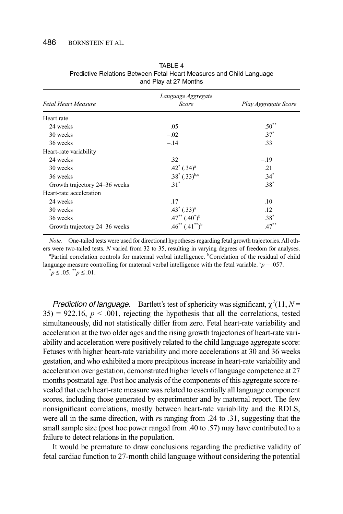|                               | Language Aggregate         |                      |  |
|-------------------------------|----------------------------|----------------------|--|
| <b>Fetal Heart Measure</b>    | Score                      | Play Aggregate Score |  |
| Heart rate                    |                            |                      |  |
| 24 weeks                      | .05                        | $.50^{**}$           |  |
| 30 weeks                      | $-.02$                     | $.37*$               |  |
| 36 weeks                      | $-.14$                     | .33                  |  |
| Heart-rate variability        |                            |                      |  |
| 24 weeks                      | .32                        | $-.19$               |  |
| 30 weeks                      | $.42^*$ $(.34)^a$          | .21                  |  |
| 36 weeks                      | $.38^*$ $(.33)^{b,c}$      | $.34*$               |  |
| Growth trajectory 24–36 weeks | $.31*$                     | $.38*$               |  |
| Heart-rate acceleration       |                            |                      |  |
| 24 weeks                      | .17                        | $-.10$               |  |
| 30 weeks                      | $.43^*$ $(.33)^a$          | .12                  |  |
| 36 weeks                      | $.47^{**}$ $(.40^{*})^{b}$ | $.38*$               |  |
| Growth trajectory 24–36 weeks | $.46^{**}(.41^{**})^b$     | $.47***$             |  |

TABLE 4 Predictive Relations Between Fetal Heart Measures and Child Language and Play at 27 Months

*Note.* One-tailed tests were used for directional hypotheses regarding fetal growth trajectories. All others were two-tailed tests. *N* varied from 32 to 35, resulting in varying degrees of freedom for analyses. Partial correlation controls for maternal verbal intelligence. <sup>b</sup>Correlation of the residual of child language measure controlling for maternal verbal intelligence with the fetal variable.  $\epsilon_p = .057$ .

 $p^*$  ≤ .05.  $p^*$  ≤ .01.

*Prediction of language.* Bartlett's test of sphericity was significant,  $\chi^2(11, N=$  $35$ ) = 922.16,  $p < .001$ , rejecting the hypothesis that all the correlations, tested simultaneously, did not statistically differ from zero. Fetal heart-rate variability and acceleration at the two older ages and the rising growth trajectories of heart-rate variability and acceleration were positively related to the child language aggregate score: Fetuses with higher heart-rate variability and more accelerations at 30 and 36 weeks gestation, and who exhibited a more precipitous increase in heart-rate variability and acceleration over gestation, demonstrated higher levels of language competence at 27 months postnatal age. Post hoc analysis of the components of this aggregate score revealed that each heart-rate measure was related to essentially all language component scores, including those generated by experimenter and by maternal report. The few nonsignificant correlations, mostly between heart-rate variability and the RDLS, were all in the same direction, with *r*s ranging from .24 to .31, suggesting that the small sample size (post hoc power ranged from .40 to .57) may have contributed to a failure to detect relations in the population.

It would be premature to draw conclusions regarding the predictive validity of fetal cardiac function to 27-month child language without considering the potential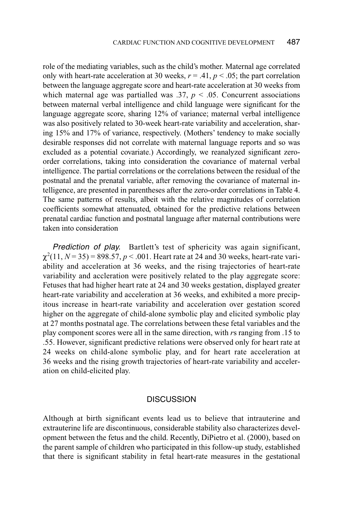role of the mediating variables, such as the child's mother. Maternal age correlated only with heart-rate acceleration at 30 weeks,  $r = .41$ ,  $p < .05$ ; the part correlation between the language aggregate score and heart-rate acceleration at 30 weeks from which maternal age was partialled was  $.37, p \le .05$ . Concurrent associations between maternal verbal intelligence and child language were significant for the language aggregate score, sharing 12% of variance; maternal verbal intelligence was also positively related to 30-week heart-rate variability and acceleration, sharing 15% and 17% of variance, respectively. (Mothers' tendency to make socially desirable responses did not correlate with maternal language reports and so was excluded as a potential covariate.) Accordingly, we reanalyzed significant zeroorder correlations, taking into consideration the covariance of maternal verbal intelligence. The partial correlations or the correlations between the residual of the postnatal and the prenatal variable, after removing the covariance of maternal intelligence, are presented in parentheses after the zero-order correlations in Table 4. The same patterns of results, albeit with the relative magnitudes of correlation coefficients somewhat attenuated, obtained for the predictive relations between prenatal cardiac function and postnatal language after maternal contributions were taken into consideration

*Prediction of play.* Bartlett's test of sphericity was again significant,  $\chi^2(11, N = 35) = 898.57, p < .001$ . Heart rate at 24 and 30 weeks, heart-rate variability and acceleration at 36 weeks, and the rising trajectories of heart-rate variability and accleration were positively related to the play aggregate score: Fetuses that had higher heart rate at 24 and 30 weeks gestation, displayed greater heart-rate variability and acceleration at 36 weeks, and exhibited a more precipitous increase in heart-rate variability and acceleration over gestation scored higher on the aggregate of child-alone symbolic play and elicited symbolic play at 27 months postnatal age. The correlations between these fetal variables and the play component scores were all in the same direction, with *r*s ranging from .15 to .55. However, significant predictive relations were observed only for heart rate at 24 weeks on child-alone symbolic play, and for heart rate acceleration at 36 weeks and the rising growth trajectories of heart-rate variability and acceleration on child-elicited play.

#### **DISCUSSION**

Although at birth significant events lead us to believe that intrauterine and extrauterine life are discontinuous, considerable stability also characterizes development between the fetus and the child. Recently, DiPietro et al. (2000), based on the parent sample of children who participated in this follow-up study, established that there is significant stability in fetal heart-rate measures in the gestational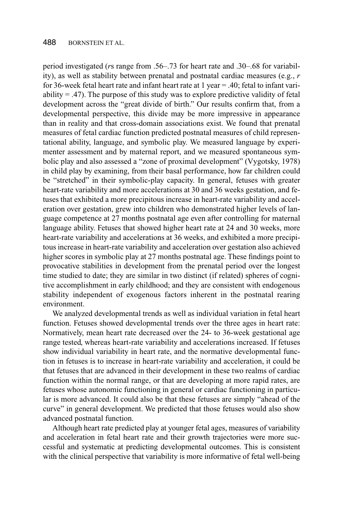period investigated (*r*s range from .56–.73 for heart rate and .30–.68 for variability), as well as stability between prenatal and postnatal cardiac measures (e.g., *r* for 36-week fetal heart rate and infant heart rate at 1 year = .40; fetal to infant variability  $=$  .47). The purpose of this study was to explore predictive validity of fetal development across the "great divide of birth." Our results confirm that, from a developmental perspective, this divide may be more impressive in appearance than in reality and that cross-domain associations exist. We found that prenatal measures of fetal cardiac function predicted postnatal measures of child representational ability, language, and symbolic play. We measured language by experimenter assessment and by maternal report, and we measured spontaneous symbolic play and also assessed a "zone of proximal development" (Vygotsky, 1978) in child play by examining, from their basal performance, how far children could be "stretched" in their symbolic-play capacity. In general, fetuses with greater heart-rate variability and more accelerations at 30 and 36 weeks gestation, and fetuses that exhibited a more precipitous increase in heart-rate variability and acceleration over gestation, grew into children who demonstrated higher levels of language competence at 27 months postnatal age even after controlling for maternal language ability. Fetuses that showed higher heart rate at 24 and 30 weeks, more heart-rate variability and accelerations at 36 weeks, and exhibited a more precipitous increase in heart-rate variability and acceleration over gestation also achieved higher scores in symbolic play at 27 months postnatal age. These findings point to provocative stabilities in development from the prenatal period over the longest time studied to date; they are similar in two distinct (if related) spheres of cognitive accomplishment in early childhood; and they are consistent with endogenous stability independent of exogenous factors inherent in the postnatal rearing environment.

We analyzed developmental trends as well as individual variation in fetal heart function. Fetuses showed developmental trends over the three ages in heart rate: Normatively, mean heart rate decreased over the 24- to 36-week gestational age range tested, whereas heart-rate variability and accelerations increased. If fetuses show individual variability in heart rate, and the normative developmental function in fetuses is to increase in heart-rate variability and acceleration, it could be that fetuses that are advanced in their development in these two realms of cardiac function within the normal range, or that are developing at more rapid rates, are fetuses whose autonomic functioning in general or cardiac functioning in particular is more advanced. It could also be that these fetuses are simply "ahead of the curve" in general development. We predicted that those fetuses would also show advanced postnatal function.

Although heart rate predicted play at younger fetal ages, measures of variability and acceleration in fetal heart rate and their growth trajectories were more successful and systematic at predicting developmental outcomes. This is consistent with the clinical perspective that variability is more informative of fetal well-being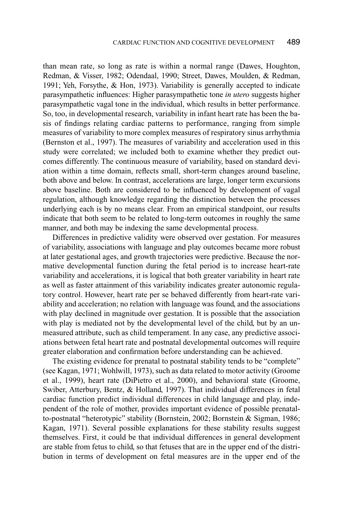than mean rate, so long as rate is within a normal range (Dawes, Houghton, Redman, & Visser, 1982; Odendaal, 1990; Street, Dawes, Moulden, & Redman, 1991; Yeh, Forsythe, & Hon, 1973). Variability is generally accepted to indicate parasympathetic influences: Higher parasympathetic tone *in utero* suggests higher parasympathetic vagal tone in the individual, which results in better performance. So, too, in developmental research, variability in infant heart rate has been the basis of findings relating cardiac patterns to performance, ranging from simple measures of variability to more complex measures of respiratory sinus arrhythmia (Bernston et al., 1997). The measures of variability and acceleration used in this study were correlated; we included both to examine whether they predict outcomes differently. The continuous measure of variability, based on standard deviation within a time domain, reflects small, short-term changes around baseline, both above and below. In contrast, accelerations are large, longer term excursions above baseline. Both are considered to be influenced by development of vagal regulation, although knowledge regarding the distinction between the processes underlying each is by no means clear. From an empirical standpoint, our results indicate that both seem to be related to long-term outcomes in roughly the same manner, and both may be indexing the same developmental process.

Differences in predictive validity were observed over gestation. For measures of variability, associations with language and play outcomes became more robust at later gestational ages, and growth trajectories were predictive. Because the normative developmental function during the fetal period is to increase heart-rate variability and accelerations, it is logical that both greater variability in heart rate as well as faster attainment of this variability indicates greater autonomic regulatory control. However, heart rate per se behaved differently from heart-rate variability and acceleration; no relation with language was found, and the associations with play declined in magnitude over gestation. It is possible that the association with play is mediated not by the developmental level of the child, but by an unmeasured attribute, such as child temperament. In any case, any predictive associations between fetal heart rate and postnatal developmental outcomes will require greater elaboration and confirmation before understanding can be achieved.

The existing evidence for prenatal to postnatal stability tends to be "complete" (see Kagan, 1971; Wohlwill, 1973), such as data related to motor activity (Groome et al., 1999), heart rate (DiPietro et al., 2000), and behavioral state (Groome, Swiber, Atterbury, Bentz, & Holland, 1997). That individual differences in fetal cardiac function predict individual differences in child language and play, independent of the role of mother, provides important evidence of possible prenatalto-postnatal "heterotypic" stability (Bornstein, 2002; Bornstein & Sigman, 1986; Kagan, 1971). Several possible explanations for these stability results suggest themselves. First, it could be that individual differences in general development are stable from fetus to child, so that fetuses that are in the upper end of the distribution in terms of development on fetal measures are in the upper end of the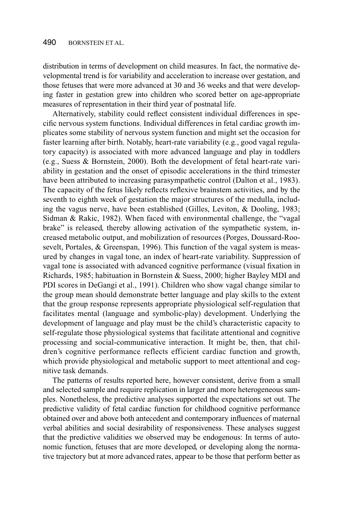distribution in terms of development on child measures. In fact, the normative developmental trend is for variability and acceleration to increase over gestation, and those fetuses that were more advanced at 30 and 36 weeks and that were developing faster in gestation grew into children who scored better on age-appropriate measures of representation in their third year of postnatal life.

Alternatively, stability could reflect consistent individual differences in specific nervous system functions. Individual differences in fetal cardiac growth implicates some stability of nervous system function and might set the occasion for faster learning after birth. Notably, heart-rate variability (e.g., good vagal regulatory capacity) is associated with more advanced language and play in toddlers (e.g., Suess & Bornstein, 2000). Both the development of fetal heart-rate variability in gestation and the onset of episodic accelerations in the third trimester have been attributed to increasing parasympathetic control (Dalton et al., 1983). The capacity of the fetus likely reflects reflexive brainstem activities, and by the seventh to eighth week of gestation the major structures of the medulla, including the vagus nerve, have been established (Gilles, Leviton, & Dooling, 1983; Sidman & Rakic, 1982). When faced with environmental challenge, the "vagal brake" is released, thereby allowing activation of the sympathetic system, increased metabolic output, and mobilization of resources (Porges, Doussard-Roosevelt, Portales, & Greenspan, 1996). This function of the vagal system is measured by changes in vagal tone, an index of heart-rate variability. Suppression of vagal tone is associated with advanced cognitive performance (visual fixation in Richards, 1985; habituation in Bornstein & Suess, 2000; higher Bayley MDI and PDI scores in DeGangi et al., 1991). Children who show vagal change similar to the group mean should demonstrate better language and play skills to the extent that the group response represents appropriate physiological self-regulation that facilitates mental (language and symbolic-play) development. Underlying the development of language and play must be the child's characteristic capacity to self-regulate those physiological systems that facilitate attentional and cognitive processing and social-communicative interaction. It might be, then, that children's cognitive performance reflects efficient cardiac function and growth, which provide physiological and metabolic support to meet attentional and cognitive task demands.

The patterns of results reported here, however consistent, derive from a small and selected sample and require replication in larger and more heterogeneous samples. Nonetheless, the predictive analyses supported the expectations set out. The predictive validity of fetal cardiac function for childhood cognitive performance obtained over and above both antecedent and contemporary influences of maternal verbal abilities and social desirability of responsiveness. These analyses suggest that the predictive validities we observed may be endogenous: In terms of autonomic function, fetuses that are more developed, or developing along the normative trajectory but at more advanced rates, appear to be those that perform better as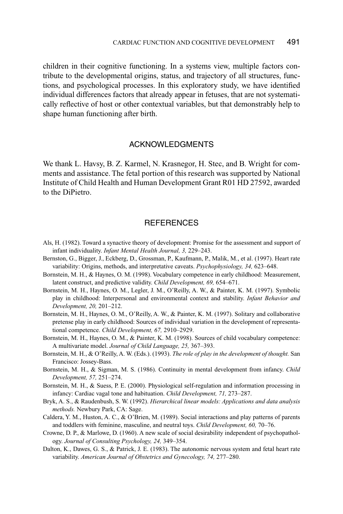children in their cognitive functioning. In a systems view, multiple factors contribute to the developmental origins, status, and trajectory of all structures, functions, and psychological processes. In this exploratory study, we have identified individual differences factors that already appear in fetuses, that are not systematically reflective of host or other contextual variables, but that demonstrably help to shape human functioning after birth.

## ACKNOWLEDGMENTS

We thank L. Havsy, B. Z. Karmel, N. Krasnegor, H. Stec, and B. Wright for comments and assistance. The fetal portion of this research was supported by National Institute of Child Health and Human Development Grant R01 HD 27592, awarded to the DiPietro.

#### **REFERENCES**

- Als, H. (1982). Toward a synactive theory of development: Promise for the assessment and support of infant individuality. *Infant Mental Health Journal, 3,* 229–243.
- Bernston, G., Bigger, J., Eckberg, D., Grossman, P., Kaufmann, P., Malik, M., et al. (1997). Heart rate variability: Origins, methods, and interpretative caveats. *Psychophysiology, 34,* 623–648.
- Bornstein, M. H., & Haynes, O. M. (1998). Vocabulary competence in early childhood: Measurement, latent construct, and predictive validity. *Child Development, 69,* 654–671.
- Bornstein, M. H., Haynes, O. M., Legler, J. M., O'Reilly, A. W., & Painter, K. M. (1997). Symbolic play in childhood: Interpersonal and environmental context and stability. *Infant Behavior and Development, 20,* 201–212.
- Bornstein, M. H., Haynes, O. M., O'Reilly, A. W., & Painter, K. M. (1997). Solitary and collaborative pretense play in early childhood: Sources of individual variation in the development of representational competence. *Child Development, 67,* 2910–2929.
- Bornstein, M. H., Haynes, O. M., & Painter, K. M. (1998). Sources of child vocabulary competence: A multivariate model. *Journal of Child Language, 25,* 367–393.
- Bornstein, M. H., & O'Reilly, A. W. (Eds.). (1993). *The role of play in the development of thought.* San Francisco: Jossey-Bass.
- Bornstein, M. H., & Sigman, M. S. (1986). Continuity in mental development from infancy. *Child Development, 57,* 251–274.
- Bornstein, M. H., & Suess, P. E. (2000). Physiological self-regulation and information processing in infancy: Cardiac vagal tone and habituation. *Child Development, 71,* 273–287.
- Bryk, A. S., & Raudenbush, S. W. (1992). *Hierarchical linear models: Applications and data analysis methods.* Newbury Park, CA: Sage.
- Caldera, Y. M., Huston, A. C., & O'Brien, M. (1989). Social interactions and play patterns of parents and toddlers with feminine, masculine, and neutral toys. *Child Development, 60,* 70–76.
- Crowne, D. P., & Marlowe, D. (1960). A new scale of social desirability independent of psychopathology. *Journal of Consulting Psychology, 24,* 349–354.
- Dalton, K., Dawes, G. S., & Patrick, J. E. (1983). The autonomic nervous system and fetal heart rate variability. *American Journal of Obstetrics and Gynecology, 74,* 277–280.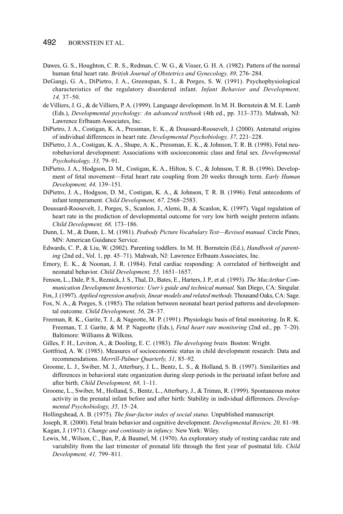- Dawes, G. S., Houghton, C. R. S., Redman, C. W. G., & Visser, G. H. A. (1982). Pattern of the normal human fetal heart rate. *British Journal of Obstetrics and Gynecology, 89,* 276–284.
- DeGangi, G. A., DiPietro, J. A., Greenspan, S. I., & Porges, S. W. (1991). Psychophysiological characteristics of the regulatory disordered infant. *Infant Behavior and Development, 14,* 37–50.
- de Villiers, J. G., & de Villiers, P. A. (1999). Language development. In M. H. Bornstein & M. E. Lamb (Eds.), *Developmental psychology: An advanced textbook* (4th ed., pp. 313–373). Mahwah, NJ: Lawrence Erlbaum Associates, Inc.
- DiPietro, J. A., Costigan, K. A., Pressman, E. K., & Doussard-Roosevelt, J. (2000). Antenatal origins of individual differences in heart rate. *Developmental Psychobiology, 37,* 221–228.
- DiPietro, J. A., Costigan, K. A., Shupe, A. K., Pressman, E. K., & Johnson, T. R. B. (1998). Fetal neurobehavioral development: Associations with socioeconomic class and fetal sex. *Developmental Psychobiology, 33,* 79–91.
- DiPietro, J. A., Hodgson, D. M., Costigan, K. A., Hilton, S. C., & Johnson, T. R. B. (1996). Development of fetal movement—Fetal heart rate coupling from 20 weeks through term. *Early Human Development, 44,* 139–151.
- DiPietro, J. A., Hodgson, D. M., Costigan, K. A., & Johnson, T. R. B. (1996). Fetal antecedents of infant temperament. *Child Development, 67,* 2568–2583.
- Doussard-Roosevelt, J., Porges, S., Scanlon, J., Alemi, B., & Scanlon, K. (1997). Vagal regulation of heart rate in the prediction of developmental outcome for very low birth weight preterm infants. *Child Development, 68,* 173–186.
- Dunn, L. M., & Dunn, L. M. (1981). *Peabody Picture Vocabulary Test—Revised manual.* Circle Pines, MN: American Guidance Service.
- Edwards, C. P., & Liu, W. (2002). Parenting toddlers. In M. H. Bornstein (Ed.), *Handbook of parenting* (2nd ed., Vol. 1, pp. 45–71). Mahwah, NJ: Lawrence Erlbaum Associates, Inc.
- Emory, E. K., & Noonan, J. R. (1984). Fetal cardiac responding: A correlated of birthweight and neonatal behavior. *Child Development, 55,* 1651–1657.
- Fenson, L., Dale, P. S., Reznick, J. S., Thal, D., Bates, E., Harters, J. P., et al. (1993). *The MacArthur Communication Development Inventories: User's guide and technical manual.* San Diego, CA: Singular.
- Fox, J. (1997). *Applied regression analysis, linear models and related methods.*Thousand Oaks, CA: Sage.
- Fox, N. A., & Porges, S. (1985). The relation between neonatal heart period patterns and developmental outcome. *Child Development, 56,* 28–37.
- Freeman, R. K., Garite, T. J., & Nageotte, M. P. (1991). Physiologic basis of fetal monitoring. In R. K. Freeman, T. J. Garite, & M. P. Nageotte (Eds.), *Fetal heart rate monitoring* (2nd ed., pp. 7–20). Baltimore: Williams & Wilkins.
- Gilles, F. H., Leviton, A., & Dooling, E. C. (1983). *The developing brain.* Boston: Wright.
- Gottfried, A. W. (1985). Measures of socioeconomic status in child development research: Data and recommendations. *Merrill-Palmer Quarterly, 31,* 85–92.
- Groome, L. J., Swiber, M. J., Atterbury, J. L., Bentz, L. S., & Holland, S. B. (1997). Similarities and differences in behavioral state organization during sleep periods in the perinatal infant before and after birth. *Child Development, 68,* 1–11.
- Groome, L., Swiber, M., Holland, S., Bentz, L., Atterbury, J., & Trimm, R. (1999). Spontaneous motor activity in the prenatal infant before and after birth: Stability in individual differences. *Developmental Psychobiology, 35,* 15–24.
- Hollingshead, A. B. (1975). *The four-factor index of social status.* Unpublished manuscript.
- Joseph, R. (2000). Fetal brain behavior and cognitive development. *Developmental Review, 20,* 81–98. Kagan, J. (1971). *Change and continuity in infancy.* New York: Wiley.
- Lewis, M., Wilson, C., Ban, P., & Baumel, M. (1970). An exploratory study of resting cardiac rate and variability from the last trimester of prenatal life through the first year of postnatal life. *Child Development, 41,* 799–811.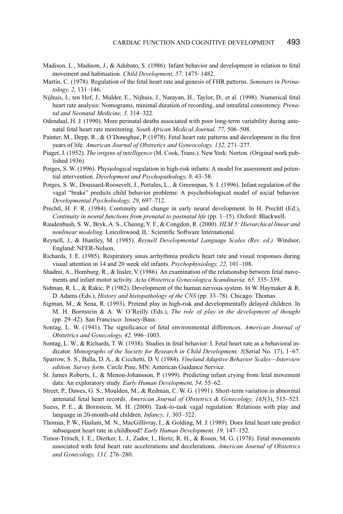- Madison, L., Madison, J., & Adubato, S. (1986). Infant behavior and development in relation to fetal movement and habituation. *Child Development, 57,* 1475–1482.
- Martin, C. (1978). Regulation of the fetal heart rate and genesis of FHR patterns. *Seminars in Perinatology, 2,* 131–146.
- Nijhuis, I., ten Hof, J., Mulder, E., Nijhuis, J., Narayan, H., Taylor, D., et al. (1998). Numerical fetal heart rate analysis: Nomograms, minimal duration of recording, and intrafetal consistency. *Prenatal and Neonatal Medicine, 3,* 314–322.
- Odendaal, H. J. (1990). More perinatal deaths associated with poor long-term variability during antenatal fetal heart rate monitoring. *South African Medical Journal, 77,* 506–508.
- Painter, M., Depp, R., & O'Donoghue, P. (1978). Fetal heart rate patterns and development in the first years of life. *American Journal of Obstretics and Gyneocology, 132,* 271–277.
- Piaget, J. (1952). *The origins of intelligence* (M. Cook, Trans.). New York: Norton. (Original work published 1936)
- Porges, S. W. (1996). Physiological regulation in high-risk infants: A model for assessment and potential intervention. *Development and Psychopathology, 8,* 43–58.
- Porges, S. W., Doussard-Roosevelt, J., Portales, L., & Greenspan, S. I. (1996). Infant regulation of the vagal "brake" predicts child behavior problems: A psychobiological model of social behavior. *Developmental Psychobiology, 29,* 697–712.
- Prechtl, H. F. R. (1984). Continuity and change in early neural development. In H. Prechtl (Ed.), *Continuity in neural functions from prenatal to postnatal life* (pp. 1–15). Oxford: Blackwell.
- Raudenbush, S. W., Bryk, A. S., Cheong, Y. F., & Congdon, R. (2000). *HLM 5: Hierarchical linear and nonlinear modeling.* Lincolnwood, IL: Scientific Software International.
- Reynell, J., & Huntley, M. (1985). *Reynell Developmental Language Scales (Rev. ed.)*. Windsor, England: NFER-Nelson.
- Richards, J. E. (1985). Respiratory sinus arrhythmia predicts heart rate and visual responses during visual attention in 14 and 20 week old infants. *Psychophysiology, 22,* 101–108.
- Shadmi, A., Homburg, R., & Insler, V. (1986). An examination of the relationship between fetal movements and infant motor activity. *Acta Obstetrica Gynecologica Scandinavia, 65,* 335–339.
- Sidman, R. L., & Rakic, P. (1982). Development of the human nervous system. In W. Haymaker & R. D. Adams (Eds.), *History and histopathology of the CNS* (pp. 33–78). Chicago: Thomas.
- Sigman, M., & Sena, R. (1993). Pretend play in high-risk and developmentally delayed children. In M. H. Bornstein & A. W. O'Reilly (Eds.), *The role of play in the development of thought* (pp. 29–42). San Francisco: Jossey-Bass.
- Sontag, L. W. (1941). The significance of fetal environmental differences. *American Journal of Obstetrics and Gynecology, 42,* 996–1003.
- Sontag, L. W., & Richards, T. W. (1938). Studies in fetal behavior: I. Fetal heart rate as a behavioral indicator. *Monographs of the Society for Research in Child Development, 3*(Serial No. 17), 1–67.
- Sparrow, S. S., Balla, D. A., & Cicchetti, D. V. (1984). *Vineland Adaptive Behavior Scales—Interview edition, Survey form.* Circle Pine, MN: American Guidance Service.
- St. James Roberts, I., & Menon-Johansson, P. (1999). Predicting infant crying from fetal movement data: An exploratory study. *Early Human Development, 54,* 55–62.
- Street, P., Dawes, G. S., Moulden, M., & Redman, C. W. G. (1991). Short-term variation in abnormal antenatal fetal heart records. *American Journal of Obstetrics & Gynecology, 165*(3), 515–523.
- Suess, P. E., & Bornstein, M. H. (2000). Task-to-task vagal regulation: Relations with play and language in 20-month-old children. *Infancy, 1,* 303–322.
- Thomas, P. W., Haslum, M. N., MacGillivray, I., & Golding, M. J. (1989). Does fetal heart rate predict subsequent heart rate in childhood? *Early Human Development, 19,* 147–152.
- Timor-Tritsch, I. E., Dierker, L. J., Zador, I., Hertz, R. H., & Rosen, M. G. (1978). Fetal movements associated with fetal heart rate accelerations and decelerations. *American Journal of Obstetrics and Gynecology, 131,* 276–280.